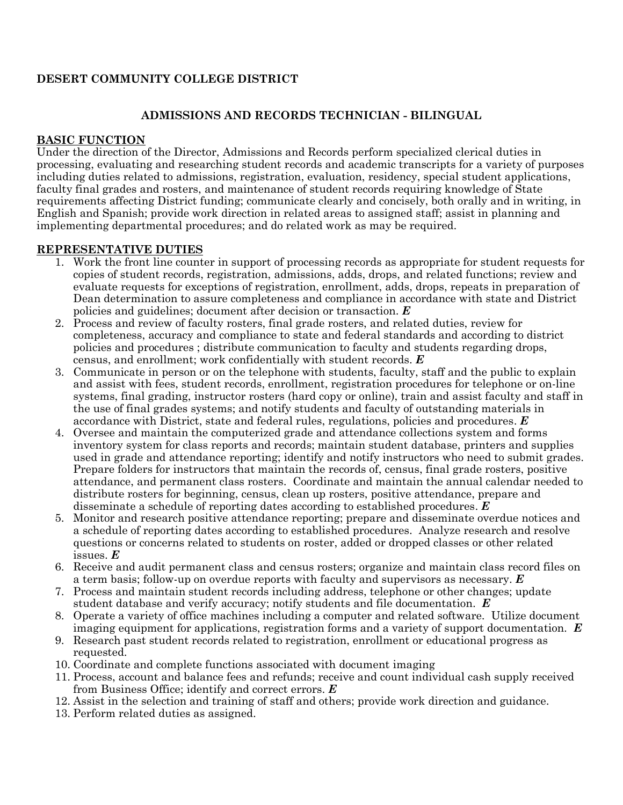## **DESERT COMMUNITY COLLEGE DISTRICT**

## **ADMISSIONS AND RECORDS TECHNICIAN - BILINGUAL**

### **BASIC FUNCTION**

Under the direction of the Director, Admissions and Records perform specialized clerical duties in processing, evaluating and researching student records and academic transcripts for a variety of purposes including duties related to admissions, registration, evaluation, residency, special student applications, faculty final grades and rosters, and maintenance of student records requiring knowledge of State requirements affecting District funding; communicate clearly and concisely, both orally and in writing, in English and Spanish; provide work direction in related areas to assigned staff; assist in planning and implementing departmental procedures; and do related work as may be required.

## **REPRESENTATIVE DUTIES**

- 1. Work the front line counter in support of processing records as appropriate for student requests for copies of student records, registration, admissions, adds, drops, and related functions; review and evaluate requests for exceptions of registration, enrollment, adds, drops, repeats in preparation of Dean determination to assure completeness and compliance in accordance with state and District policies and guidelines; document after decision or transaction. *E*
- 2. Process and review of faculty rosters, final grade rosters, and related duties, review for completeness, accuracy and compliance to state and federal standards and according to district policies and procedures ; distribute communication to faculty and students regarding drops, census, and enrollment; work confidentially with student records. *E*
- 3. Communicate in person or on the telephone with students, faculty, staff and the public to explain and assist with fees, student records, enrollment, registration procedures for telephone or on-line systems, final grading, instructor rosters (hard copy or online), train and assist faculty and staff in the use of final grades systems; and notify students and faculty of outstanding materials in accordance with District, state and federal rules, regulations, policies and procedures. *E*
- 4. Oversee and maintain the computerized grade and attendance collections system and forms inventory system for class reports and records; maintain student database, printers and supplies used in grade and attendance reporting; identify and notify instructors who need to submit grades. Prepare folders for instructors that maintain the records of, census, final grade rosters, positive attendance, and permanent class rosters. Coordinate and maintain the annual calendar needed to distribute rosters for beginning, census, clean up rosters, positive attendance, prepare and disseminate a schedule of reporting dates according to established procedures. *E*
- 5. Monitor and research positive attendance reporting; prepare and disseminate overdue notices and a schedule of reporting dates according to established procedures. Analyze research and resolve questions or concerns related to students on roster, added or dropped classes or other related issues. *E*
- 6. Receive and audit permanent class and census rosters; organize and maintain class record files on a term basis; follow-up on overdue reports with faculty and supervisors as necessary. *E*
- 7. Process and maintain student records including address, telephone or other changes; update student database and verify accuracy; notify students and file documentation. *E*
- 8. Operate a variety of office machines including a computer and related software. Utilize document imaging equipment for applications, registration forms and a variety of support documentation. *E*
- 9. Research past student records related to registration, enrollment or educational progress as requested.
- 10. Coordinate and complete functions associated with document imaging
- 11. Process, account and balance fees and refunds; receive and count individual cash supply received from Business Office; identify and correct errors. *E*
- 12. Assist in the selection and training of staff and others; provide work direction and guidance.
- 13. Perform related duties as assigned.